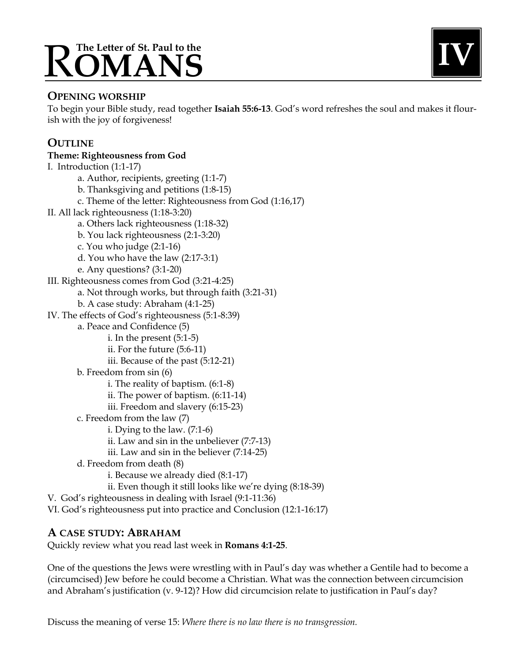# The Letter of St. Paul to the



## **OPENING WORSHIP**

To begin your Bible study, read together **Isaiah 55:6-13**. God's word refreshes the soul and makes it flourish with the joy of forgiveness!

## **OUTLINE**

# **Theme: Righteousness from God**

I. Introduction (1:1-17) a. Author, recipients, greeting (1:1-7) b. Thanksgiving and petitions (1:8-15) c. Theme of the letter: Righteousness from God (1:16,17) II. All lack righteousness (1:18-3:20) a. Others lack righteousness (1:18-32) b. You lack righteousness (2:1-3:20) c. You who judge (2:1-16) d. You who have the law (2:17-3:1) e. Any questions? (3:1-20) III. Righteousness comes from God (3:21-4:25) a. Not through works, but through faith (3:21-31) b. A case study: Abraham (4:1-25) IV. The effects of God's righteousness (5:1-8:39) a. Peace and Confidence (5) i. In the present (5:1-5) ii. For the future (5:6-11) iii. Because of the past (5:12-21) b. Freedom from sin (6) i. The reality of baptism. (6:1-8) ii. The power of baptism. (6:11-14) iii. Freedom and slavery (6:15-23) c. Freedom from the law (7) i. Dying to the law. (7:1-6) ii. Law and sin in the unbeliever (7:7-13) iii. Law and sin in the believer (7:14-25) d. Freedom from death (8) i. Because we already died (8:1-17) ii. Even though it still looks like we're dying (8:18-39) V. God's righteousness in dealing with Israel (9:1-11:36) VI. God's righteousness put into practice and Conclusion (12:1-16:17)

# **A CASE STUDY: ABRAHAM**

Quickly review what you read last week in **Romans 4:1-25**.

One of the questions the Jews were wrestling with in Paul's day was whether a Gentile had to become a (circumcised) Jew before he could become a Christian. What was the connection between circumcision and Abraham's justification (v. 9-12)? How did circumcision relate to justification in Paul's day?

Discuss the meaning of verse 15: *Where there is no law there is no transgression.*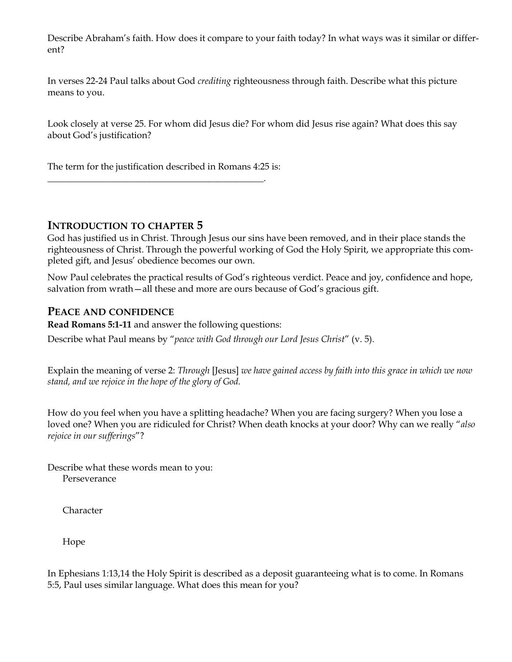Describe Abraham's faith. How does it compare to your faith today? In what ways was it similar or different?

In verses 22-24 Paul talks about God *crediting* righteousness through faith. Describe what this picture means to you.

Look closely at verse 25. For whom did Jesus die? For whom did Jesus rise again? What does this say about God's justification?

The term for the justification described in Romans 4:25 is:

\_\_\_\_\_\_\_\_\_\_\_\_\_\_\_\_\_\_\_\_\_\_\_\_\_\_\_\_\_\_\_\_\_\_\_\_\_\_\_\_\_\_\_\_\_\_\_.

#### **INTRODUCTION TO CHAPTER 5**

God has justified us in Christ. Through Jesus our sins have been removed, and in their place stands the righteousness of Christ. Through the powerful working of God the Holy Spirit, we appropriate this completed gift, and Jesus' obedience becomes our own.

Now Paul celebrates the practical results of God's righteous verdict. Peace and joy, confidence and hope, salvation from wrath—all these and more are ours because of God's gracious gift.

#### **PEACE AND CONFIDENCE**

**Read Romans 5:1-11** and answer the following questions:

Describe what Paul means by "*peace with God through our Lord Jesus Christ*" (v. 5).

Explain the meaning of verse 2: *Through* [Jesus] *we have gained access by faith into this grace in which we now stand, and we rejoice in the hope of the glory of God.*

How do you feel when you have a splitting headache? When you are facing surgery? When you lose a loved one? When you are ridiculed for Christ? When death knocks at your door? Why can we really "*also rejoice in our sufferings*"?

Describe what these words mean to you: Perseverance

Character

Hope

In Ephesians 1:13,14 the Holy Spirit is described as a deposit guaranteeing what is to come. In Romans 5:5, Paul uses similar language. What does this mean for you?